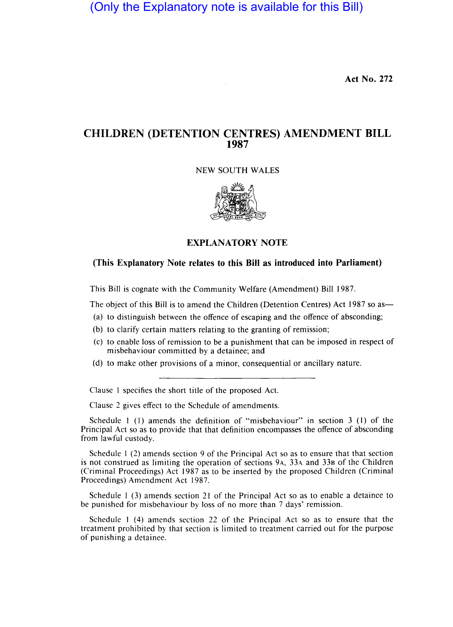(Only the Explanatory note is available for this Bill)

**Act No. 272** 

# **CHILDREN (DETENTION CENTRES) AMENDMENT BILL 1987**

#### NEW SOUTH WALES



## **EXPLANATORY NOTE**

### **(This Explanatory Note relates to this Bill as introduced into Parliament)**

This Bill is cognate with the Community Welfare (Amendment) Bill 1987.

The object of this Bill is to amend the Children (Detention Centres) Act 1987 so as-

- (a) to distinguish between the offence of escaping and the offence of absconding;
- (b) to clarify certain matters relating to the granting of remission;
- (c) to enable loss of remission to be a punishment that can be imposed in respect of misbehaviour committed by a detainee; and
- (d) to make other provisions of a minor, consequential or ancillary nature.

Clause 1 specifies the short title of the proposed Act.

Clause 2 gives effect to the Schedule of amendments.

Schedule 1 (1) amends the definition of "misbehaviour" in section 3 (1) of the Principal Act so as to provide that that definition encompasses the offence of absconding from lawful custody.

Schedule 1 (2) amends section 9 of the Principal Act so as to ensure that that section is not construed as limiting the operation of sections 9A, 33A and 338 of the Children (Criminal Proceedings) Act 1987 as to be inserted by the proposed Children (Criminal Proceedings) Amendment Act 1987.

Schedule I (3) amends section 21 of the Principal Act so as to enable a detainee to be punished for misbehaviour by loss of no more than 7 days' remission.

Schedule 1 (4) amends section 22 of the Principal Act so as to ensure that the treatment prohibited by that section is limited to treatment carried out for the purpose of punishing a detainee.